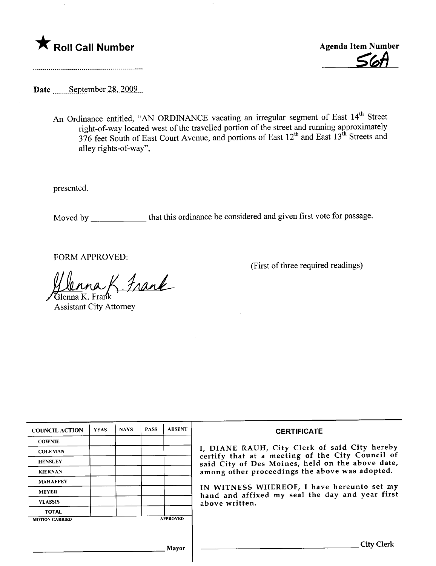



Date September 28, 2009.

An Ordinance entitled, "AN ORDINANCE vacating an irregular segment of East 14<sup>th</sup> Street right-of-way located west of the travelled portion of the street and running approximately  $376$  feet South of East Court Avenue, and portions of East  $12<sup>th</sup>$  and East  $13<sup>th</sup>$  Streets and alley rights-of-way",

presented.

Moved by \_\_\_\_\_\_\_\_\_\_\_\_ that this ordinance be considered and given first vote for passage.

FORM APPROVED:

(First of three required readings)

 $\underset{\text{Frank}}{max}$ . Frank

Assistant City Attorney

| <b>COUNCIL ACTION</b> | <b>YEAS</b> | <b>NAYS</b> | <b>PASS</b> | <b>ABSENT</b>   | <b>CERTIFICATE</b>                                                                                                                                                                                                                                                                                                         |
|-----------------------|-------------|-------------|-------------|-----------------|----------------------------------------------------------------------------------------------------------------------------------------------------------------------------------------------------------------------------------------------------------------------------------------------------------------------------|
| <b>COWNIE</b>         |             |             |             |                 |                                                                                                                                                                                                                                                                                                                            |
| <b>COLEMAN</b>        |             |             |             |                 | I, DIANE RAUH, City Clerk of said City hereby<br>certify that at a meeting of the City Council of<br>said City of Des Moines, held on the above date,<br>among other proceedings the above was adopted.<br>IN WITNESS WHEREOF, I have hereunto set my<br>hand and affixed my seal the day and year first<br>above written. |
| <b>HENSLEY</b>        |             |             |             |                 |                                                                                                                                                                                                                                                                                                                            |
| <b>KIERNAN</b>        |             |             |             |                 |                                                                                                                                                                                                                                                                                                                            |
| <b>MAHAFFEY</b>       |             |             |             |                 |                                                                                                                                                                                                                                                                                                                            |
| <b>MEYER</b>          |             |             |             |                 |                                                                                                                                                                                                                                                                                                                            |
| <b>VLASSIS</b>        |             |             |             |                 |                                                                                                                                                                                                                                                                                                                            |
| <b>TOTAL</b>          |             |             |             |                 |                                                                                                                                                                                                                                                                                                                            |
| <b>MOTION CARRIED</b> |             |             |             | <b>APPROVED</b> |                                                                                                                                                                                                                                                                                                                            |
|                       |             |             |             |                 |                                                                                                                                                                                                                                                                                                                            |
|                       |             |             |             | Mayor           | <b>City Clerk</b>                                                                                                                                                                                                                                                                                                          |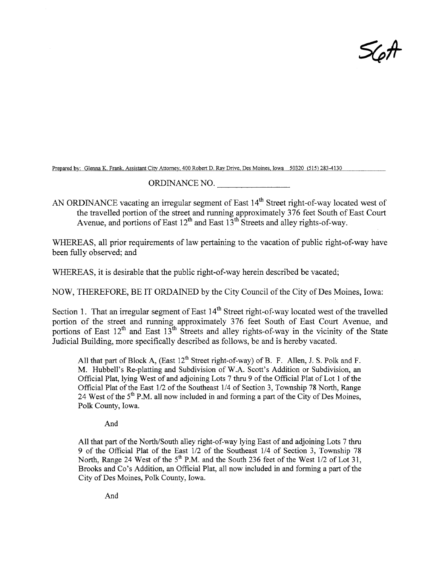$\mathcal{S}\!\mathcal{\zeta} \mathcal{\kappa}$ 

Prepared bv: Glenna K. Frank. Assistant Citv Attomev. 400 Robert D. Rav Drive. Des Moines. Iowa 50320 (515) 283-4I30

## ORDINANCE NO.

AN ORDINANCE vacating an irregular segment of East 14<sup>th</sup> Street right-of-way located west of the travelled portion of the street and running approximately 376 feet South of East Court Avenue, and portions of East  $12^{th}$  and East  $13^{th}$  Streets and alley rights-of-way.

WHEREAS, all prior requirements of law pertaining to the vacation of public right-of-way have been fully observed; and

WHEREAS, it is desirable that the public right-of-way herein described be vacated;

NOW, THEREFORE, BE IT ORDAINED by the City Council of the City of Des Moines, Iowa:

Section 1. That an irregular segment of East 14<sup>th</sup> Street right-of-way located west of the travelled portion of the street and running approximately 376 feet South of East Court Avenue, and portions of East  $12^{th}$  and East  $13^{th}$  Streets and alley rights-of-way in the vicinity of the State Judicial Building, more specifically described as follows, be and is hereby vacated.

All that part of Block A, (East  $12^{th}$  Street right-of-way) of B. F. Allen, J. S. Polk and F. M. Hubbell's Re-platting and Subdivision of W.A. Scott's Addition or Subdivision, an Official Plat, lying West of and adjoining Lots 7 thru 9 of the Official Plat of Lot 1 of the Official Plat of the East 1/2 of the Southeast 1/4 of Section 3, Township 78 North, Range 24 West of the  $5<sup>th</sup>$  P.M. all now included in and forming a part of the City of Des Moines, Polk County, Iowa.

And

All that part of the North/South alley right-of-way lying East of and adjoining Lots 7 thru 9 of the Official Plat of the East 1/2 of the Southeast 1/4 of Section 3, Township 78 North, Range 24 West of the  $5<sup>th</sup>$  P.M. and the South 236 feet of the West 1/2 of Lot 31, Brooks and Co's Addition, an Official Plat, all now included in and forming a part of the City of Des Moines, Polk County, Iowa.

And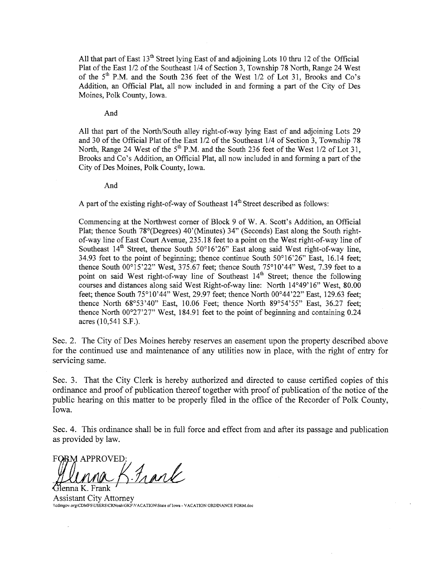All that part of East  $13<sup>th</sup>$  Street lying East of and adjoining Lots 10 thru 12 of the Official Plat of the East 1/2 of the Southeast 1/4 of Section 3, Township 78 North, Range 24 West of the  $5<sup>th</sup>$  P.M. and the South 236 feet of the West  $1/2$  of Lot 31, Brooks and Co's Addition, an Official Plat, all now included in and forming a part of the City of Des Moines, Polk County, Iowa.

And

All that part of the North/South alley right-of-way lying East of and adjoining Lots 29 and 30 of the Offcial Plat of the East 1/2 of the Southeast 1/4 of Section 3, Township 78 North, Range 24 West of the  $5<sup>th</sup>$  P.M. and the South 236 feet of the West 1/2 of Lot 31, Brooks and Co's Addition, an Official Plat, all now included in and forming a part of the City of Des Moines, Polk County, Iowa.

And

A part of the existing right-of-way of Southeast  $14<sup>th</sup>$  Street described as follows:

Commencing at the Northwest comer of Block 9 of W. A. Scott's Addition, an Official Plat; thence South 78°(Degrees) 40'(Minutes) 34" (Seconds) East along the South rightof-way line of East Court Avenue, 235.18 feet to a point on the West right-of-way line of Southeast  $14<sup>th</sup>$  Street, thence South 50°16'26" East along said West right-of-way line, 34.93 feet to the point of beginning; thence continue South 50°16'26" East, 16.14 feet; thence South 00°15'22" West, 375.67 feet; thence South 75°10'44" West, 7.39 feet to a point on said West right-of-way line of Southeast  $14<sup>th</sup>$  Street; thence the following courses and distances along said West Right-of-way line: North 14°49'16" West, 80.00 feet; thence South 75°10'44" West, 29.97 feet; thence North 00°44'22" East, 129.63 feet; thence North  $68^{\circ}53'40''$  East,  $10.06$  Feet; thence North  $89^{\circ}54'55''$  East,  $36.27$  feet; thence North  $00^{\circ}27'27''$  West, 184.91 feet to the point of beginning and containing 0.24 acres (10,541 S.F.).

Sec. 2. The City of Des Moines hereby reserves an easement upon the property described above for the continued use and maitenance of any utilities now in place, with the right of entry for servicing same.

Sec. 3. That the City Clerk is hereby authorized and directed to cause certified copies of ths ordinance and proof of publication thereof together with proof of publication of the notice of the public hearng on this matter to be properly filed in the office of the Recorder of Polk County, Iowa.

Sec. 4. This ordinance shall be in full force and effect from and after its passage and publication as provided by law.

FORM APPROVED  $\frac{1}{2}$  and

enna K. Frank' Assistant City Attorney \\cdmgov.org\CDMFS\USERS\CRNoah\GKF\VACATION\State of lowa - VACATION ORDINANCE FORM.doc